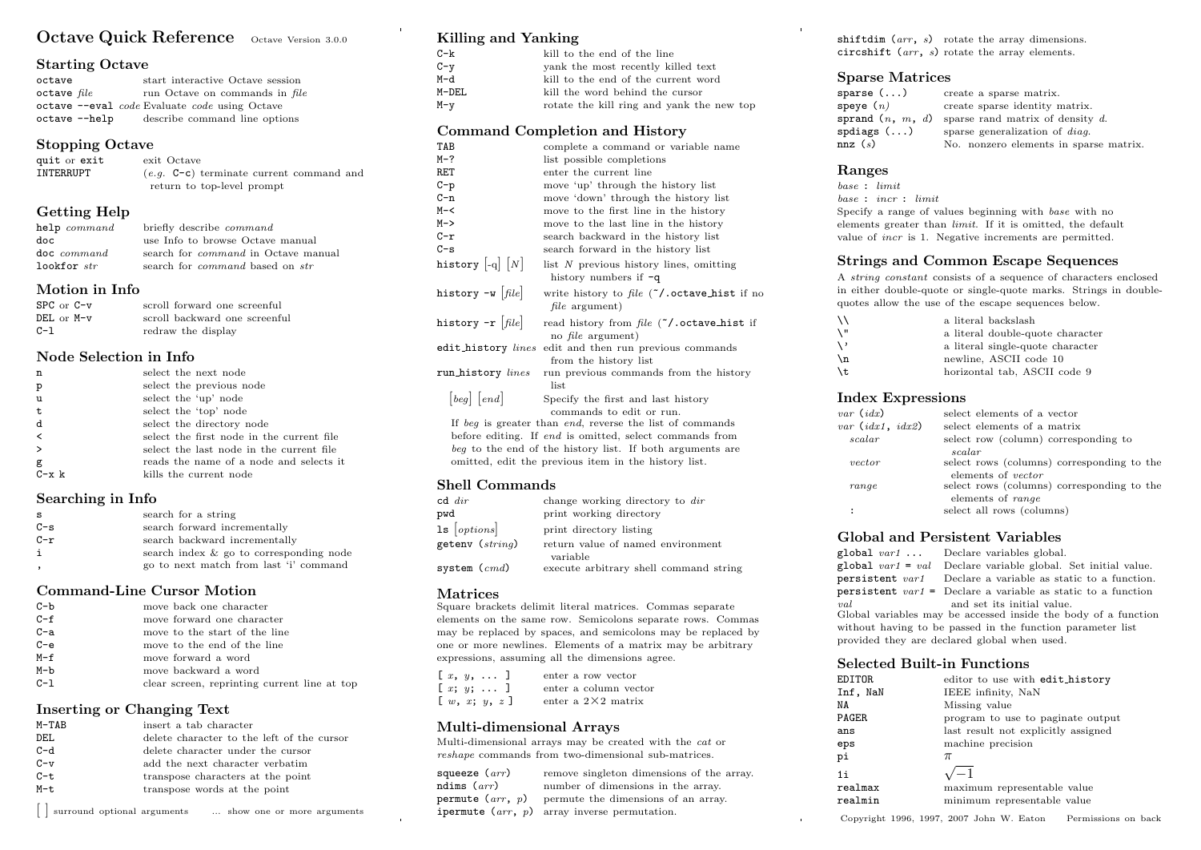# Octave Quick Reference Octave Version 3.0.0

#### Starting Octave

| octave        | start interactive Octave session              |
|---------------|-----------------------------------------------|
| octave file   | run Octave on commands in file                |
|               | octave --eval code Evaluate code using Octave |
| octave --help | describe command line options                 |

# Stopping Octave

| quit or exit | exit Octave                                |  |  |  |  |
|--------------|--------------------------------------------|--|--|--|--|
| INTERRUPT    | $(e,q, C-c)$ terminate current command and |  |  |  |  |
|              | return to top-level prompt                 |  |  |  |  |

# Getting Help

| help command | briefly describe <i>command</i>               |  |  |  |  |
|--------------|-----------------------------------------------|--|--|--|--|
| doc          | use Info to browse Octave manual              |  |  |  |  |
| doc command  | search for <i>command</i> in Octave manual    |  |  |  |  |
| lookfor str  | search for <i>command</i> based on <i>str</i> |  |  |  |  |

#### Motion in Info

| $SPC$ or $C-v$ | scroll forward one screenful  |
|----------------|-------------------------------|
| $DEL$ or $M-v$ | scroll backward one screenful |
| $C-1$          | redraw the display            |

#### Node Selection in Info

| n             | select the next node                      |
|---------------|-------------------------------------------|
| p             | select the previous node                  |
| u             | select the 'up' node                      |
| $\mathbf t$   | select the 'top' node                     |
| d             | select the directory node                 |
| $\prec$       | select the first node in the current file |
| $\rightarrow$ | select the last node in the current file  |
| g             | reads the name of a node and selects it   |
| $C - x k$     | kills the current node                    |

#### Searching in Info

| s     | search for a string                     |
|-------|-----------------------------------------|
| $C-S$ | search forward incrementally            |
| $C-r$ | search backward incrementally           |
| i     | search index & go to corresponding node |
|       | go to next match from last 'i' command  |

# Command-Line Cursor Motion

| $C-b$   | move back one character                      |
|---------|----------------------------------------------|
| $C - f$ | move forward one character                   |
| $C-a$   | move to the start of the line                |
| $C - e$ | move to the end of the line                  |
| $M-f$   | move forward a word                          |
| $M-b$   | move backward a word                         |
| $C-1$   | clear screen, reprinting current line at top |

# Inserting or Changing Text

| $M-TAB$ | insert a tab character                     |
|---------|--------------------------------------------|
| DEL     | delete character to the left of the cursor |
| $C-d$   | delete character under the cursor          |
| $C-v$   | add the next character verbatim            |
| $C - t$ | transpose characters at the point          |
| $M-t$   | transpose words at the point               |
|         |                                            |

[ ] surround optional arguments ... show one or more arguments

# Killing and Yanking

| C-k     | kill to the end of the line               |
|---------|-------------------------------------------|
| $C - y$ | yank the most recently killed text        |
| M-d     | kill to the end of the current word       |
| M-DEL   | kill the word behind the cursor           |
| M-y     | rotate the kill ring and yank the new top |

#### Command Completion and History

| TAB                                                              | complete a command or variable name                                                                               |  |  |  |  |  |
|------------------------------------------------------------------|-------------------------------------------------------------------------------------------------------------------|--|--|--|--|--|
| M-?                                                              | list possible completions                                                                                         |  |  |  |  |  |
| RET                                                              | enter the current line                                                                                            |  |  |  |  |  |
| C-p                                                              | move 'up' through the history list                                                                                |  |  |  |  |  |
| C-n                                                              | move 'down' through the history list                                                                              |  |  |  |  |  |
| M-<                                                              | move to the first line in the history                                                                             |  |  |  |  |  |
| M->                                                              | move to the last line in the history                                                                              |  |  |  |  |  |
| C-r                                                              | search backward in the history list                                                                               |  |  |  |  |  |
| $C-S$                                                            | search forward in the history list                                                                                |  |  |  |  |  |
| history $\left\vert \cdot \right\vert$ $\left\vert N\right\vert$ | list N previous history lines, omitting<br>history numbers if $-q$                                                |  |  |  |  |  |
| history -w $\left  \textit{file} \right $                        | write history to file $\zeta$ . octave_hist if no<br><i>file</i> argument)                                        |  |  |  |  |  |
| history -r $\vert$ file $\vert$                                  | read history from $file$ ( $\check{\ }$ ). octave_hist if<br>no <i>file</i> argument)                             |  |  |  |  |  |
| edit_history lines                                               | edit and then run previous commands<br>from the history list                                                      |  |  |  |  |  |
| run_history lines                                                | run previous commands from the history<br>list                                                                    |  |  |  |  |  |
| [beg] [end]                                                      | Specify the first and last history<br>commands to edit or run.                                                    |  |  |  |  |  |
|                                                                  | If beg is greater than end, reverse the list of commands                                                          |  |  |  |  |  |
|                                                                  | before editing. If end is omitted, select commands from                                                           |  |  |  |  |  |
|                                                                  | beg to the end of the history list. If both arguments are<br>omitted, edit the previous item in the history list. |  |  |  |  |  |
|                                                                  |                                                                                                                   |  |  |  |  |  |

# Shell Commands

| $cd \ dir$          | change working directory to dir                    |  |  |  |  |
|---------------------|----------------------------------------------------|--|--|--|--|
| pwd                 | print working directory                            |  |  |  |  |
| $1s$ [options]      | print directory listing                            |  |  |  |  |
| getenv ( $string$ ) | return value of named environment                  |  |  |  |  |
| system ( $cmd)$     | variable<br>execute arbitrary shell command string |  |  |  |  |

# Matrices

Square brackets delimit literal matrices. Commas separate elements on the same row. Semicolons separate rows. Commas may be replaced by spaces, and semicolons may be replaced by one or more newlines. Elements of a matrix may be arbitrary expressions, assuming all the dimensions agree.

|  | $[x, y, \ldots]$                                     |  | enter a row vector         |
|--|------------------------------------------------------|--|----------------------------|
|  | $[x; y; \ldots]$                                     |  | enter a column vector      |
|  | $\left[\begin{array}{c}w, x; y, z\end{array}\right]$ |  | enter a $2\times 2$ matrix |

# Multi-dimensional Arrays

Multi-dimensional arrays may be created with the cat or reshape commands from two-dimensional sub-matrices.

| squeeze $(arr)$ | remove singleton dimensions of the array.                     |
|-----------------|---------------------------------------------------------------|
| ndims $(arr)$   | number of dimensions in the array.                            |
|                 | <b>permute</b> $(arr, p)$ permute the dimensions of an array. |
|                 | <b>ipermute</b> $(\text{arr}, p)$ array inverse permutation.  |

shiftdim  $(arr, s)$  rotate the array dimensions. circshift  $(arr, s)$  rotate the array elements.

# Sparse Matrices

| sparse ()                         | create a sparse matrix.                             |
|-----------------------------------|-----------------------------------------------------|
| speye $(n)$                       | create sparse identity matrix.                      |
|                                   | sprand $(n, m, d)$ sparse rand matrix of density d. |
| $spdiags$ $\left( \ldots \right)$ | sparse generalization of <i>diag</i> .              |
| nnz(s)                            | No. nonzero elements in sparse matrix.              |

# Ranges

base : limit base : incr : limit Specify a range of values beginning with base with no elements greater than limit. If it is omitted, the default value of incr is 1. Negative increments are permitted.

# Strings and Common Escape Sequences

A string constant consists of a sequence of characters enclosed in either double-quote or single-quote marks. Strings in doublequotes allow the use of the escape sequences below.

| ハ   | a literal backslash              |
|-----|----------------------------------|
| ۱"  | a literal double-quote character |
| ر / | a literal single-quote character |
| \n  | newline, ASCII code 10           |
| \t  | horizontal tab, ASCII code 9     |
|     |                                  |

#### Index Expressions

| $var$ $(idx)$      | select elements of a vector                |
|--------------------|--------------------------------------------|
| var $(idx1, idx2)$ | select elements of a matrix                |
| scalar             | select row (column) corresponding to       |
|                    | scalar                                     |
| vector             | select rows (columns) corresponding to the |
|                    | elements of <i>vector</i>                  |
| range              | select rows (columns) corresponding to the |
|                    | elements of range                          |
|                    | select all rows (columns)                  |
|                    |                                            |

# Global and Persistent Variables

|                                                                | $\mathbf{global}$ <i>var1</i> Declare variables global.               |  |
|----------------------------------------------------------------|-----------------------------------------------------------------------|--|
|                                                                | global $var1 = val$ Declare variable global. Set initial value.       |  |
|                                                                | <b>persistent</b> $var1$ Declare a variable as static to a function.  |  |
|                                                                | <b>persistent</b> $var1 =$ Declare a variable as static to a function |  |
| val                                                            | and set its initial value.                                            |  |
| Global variables may be accessed inside the body of a function |                                                                       |  |
| without having to be passed in the function parameter list     |                                                                       |  |
|                                                                | provided they are declared global when used.                          |  |

# Selected Built-in Functions

| EDITOR   | editor to use with edit_history     |
|----------|-------------------------------------|
| Inf, NaN | IEEE infinity, NaN                  |
| NΑ       | Missing value                       |
| PAGER    | program to use to paginate output   |
| ans      | last result not explicitly assigned |
| eps      | machine precision                   |
| рi       | $\pi$                               |
| 1i       | $\sqrt{-1}$                         |
| realmax  | maximum representable value         |
| realmin  | minimum representable value         |
|          |                                     |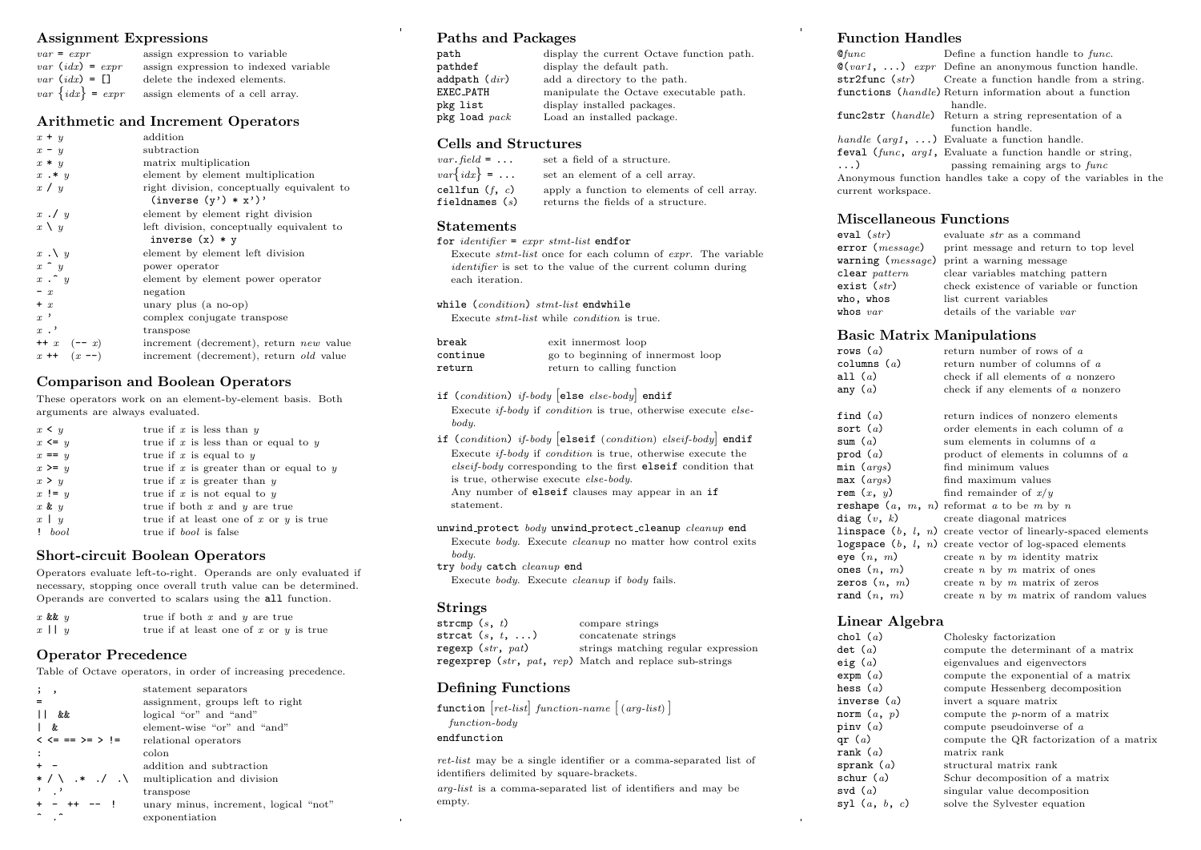#### Assignment Expressions

| $var = expr$          | assign expression to variable         |
|-----------------------|---------------------------------------|
| $var$ (idx) = $expr$  | assign expression to indexed variable |
| $var$ $(idx) = \Box$  | delete the indexed elements.          |
| $var\ \{idx\} = expr$ | assign elements of a cell array.      |

#### Arithmetic and Increment Operators

| $x + y$           | addition                                       |
|-------------------|------------------------------------------------|
| $x - y$           | subtraction                                    |
| $x * y$           | matrix multiplication                          |
| $x \cdot * y$     | element by element multiplication              |
| x / y             | right division, conceptually equivalent to     |
|                   | $(inverse (y') * x')'$                         |
| $x \cdot y$       | element by element right division              |
| $x \setminus y$   | left division, conceptually equivalent to      |
|                   | inverse $(x) * y$                              |
| $x \cdot \vee y$  | element by element left division               |
| $x \uparrow y$    | power operator                                 |
| $x \cdot \hat{y}$ | element by element power operator              |
| $- x$             | negation                                       |
| $+ x$             | unary plus (a no-op)                           |
| $x^{\prime}$      | complex conjugate transpose                    |
| $x$ .'            | transpose                                      |
| $++ x (-x)$       | increment (decrement), return <i>new</i> value |
| $x + (x - )$      | increment (decrement), return <i>old</i> value |

#### Comparison and Boolean Operators

These operators work on an element-by-element basis. Both arguments are always evaluated.

| $x \leq y$        | true if $x$ is less than $y$                |
|-------------------|---------------------------------------------|
| $x \leq y$        | true if $x$ is less than or equal to $y$    |
| $x == y$          | true if x is equal to $y$                   |
| $x \geq y$        | true if $x$ is greater than or equal to $y$ |
| x > y             | true if $x$ is greater than $y$             |
| $x := y$          | true if x is not equal to $y$               |
| $x \& y$          | true if both $x$ and $y$ are true           |
| $x \mid y$        | true if at least one of $x$ or $y$ is true  |
| 1 <sub>bool</sub> | true if <i>bool</i> is false                |

# Short-circuit Boolean Operators

Operators evaluate left-to-right. Operands are only evaluated if necessary, stopping once overall truth value can be determined. Operands are converted to scalars using the all function.

| $x$ & $y$  | true if both $x$ and $y$ are true          |
|------------|--------------------------------------------|
| $x \mid y$ | true if at least one of $x$ or $y$ is true |

# Operator Precedence

Table of Octave operators, in order of increasing precedence.

| ;,                          | statement separators                  |
|-----------------------------|---------------------------------------|
|                             | assignment, groups left to right      |
| &&                          | logical "or" and "and"                |
| &.                          | element-wise "or" and "and"           |
| $\lt \lt = == \gt = \gt !=$ | relational operators                  |
|                             | colon                                 |
|                             | addition and subtraction              |
| $*$ / \ $*$ . / . \         | multiplication and division           |
|                             | transpose                             |
| + - ++ -- !                 | unary minus, increment, logical "not" |
|                             | exponentiation                        |

#### Paths and Packages

| display the current Octave function path. |
|-------------------------------------------|
| display the default path.                 |
| add a directory to the path.              |
| manipulate the Octave executable path.    |
| display installed packages.               |
| Load an installed package.                |
|                                           |

#### Cells and Structures

| $var$ . field = $\dots$ | set a field of a structure.                 |
|-------------------------|---------------------------------------------|
| $var\{idx\}$ =          | set an element of a cell array.             |
| cellfun $(f, c)$        | apply a function to elements of cell array. |
| fieldnames ( $s$ )      | returns the fields of a structure.          |
|                         |                                             |

#### Statements

for  $identity = expr \,stmt-list \, endfor$ Execute stmt-list once for each column of expr. The variable identifier is set to the value of the current column during each iteration. while (condition) stmt-list endwhile Execute stmt-list while condition is true. break exit innermost loop

| vi ean   | exit immermost toop               |
|----------|-----------------------------------|
| continue | go to beginning of innermost loop |
| return   | return to calling function        |

if (condition) if-body else else-body endif

Execute if-body if condition is true, otherwise execute elsebody.

if (condition) if-body elseif (condition) elseif-body endif Execute if-body if condition is true, otherwise execute the elseif-body corresponding to the first elseif condition that is true, otherwise execute else-body. Any number of elseif clauses may appear in an if statement.

unwind protect body unwind protect cleanup cleanup end Execute body. Execute cleanup no matter how control exits body.

try body catch cleanup end Execute body. Execute cleanup if body fails.

# Strings<br>strcmp  $(s, t)$

compare strings strcat  $(s, t, \ldots)$  concatenate strings

regexp (str, pat) strings matching regular expression regexprep (str, pat, rep) Match and replace sub-strings

# Defining Functions

function  $[ret-list] function-name [(arg-list)]$ function-body endfunction

ret-list may be a single identifier or a comma-separated list of identifiers delimited by square-brackets.

arg-list is a comma-separated list of identifiers and may be empty.

#### Function Handles

 $\mathfrak{G}$ func Define a function handle to func.  $\mathcal{Q}(var1, \ldots)$  expr Define an anonymous function handle.<br>str2func (str) Create a function handle from a string Create a function handle from a string. functions (handle) Return information about a function handle. func2str (handle) Return a string representation of a function handle. handle (arg1, ...) Evaluate a function handle. feval (func, arg1, Evaluate a function handle or string, ...) passing remaining args to func Anonymous function handles take a copy of the variables in the current workspace.

# Miscellaneous Functions

| eval $(\mathit{str})$     | evaluate <i>str</i> as a command                        |
|---------------------------|---------------------------------------------------------|
|                           | $error (message)$ print message and return to top level |
|                           | warning ( <i>message</i> ) print a warning message      |
| $\texttt{clear}\ pattern$ | clear variables matching pattern                        |
| exist $(\mathit{str})$    | check existence of variable or function                 |
| who, whos                 | list current variables                                  |
| whos $var$                | details of the variable var                             |

# Basic Matrix Manipulations

| rows $(a)$<br>columns $(a)$<br>all $(a)$<br>any $(a)$ | return number of rows of a<br>return number of columns of a<br>check if all elements of a nonzero<br>check if any elements of a nonzero |
|-------------------------------------------------------|-----------------------------------------------------------------------------------------------------------------------------------------|
| find $(a)$<br>sort $(a)$                              | return indices of nonzero elements<br>order elements in each column of a                                                                |
| sum $(a)$                                             | sum elements in columns of a                                                                                                            |
| prod $(a)$                                            | product of elements in columns of $a$                                                                                                   |
| min (args)                                            | find minimum values                                                                                                                     |
| max (args)                                            | find maximum values                                                                                                                     |
| rem $(x, y)$                                          | find remainder of $x/y$                                                                                                                 |
|                                                       | <b>reshape</b> $(a, m, n)$ reformat a to be m by n                                                                                      |
|                                                       | $diag(v, k)$ create diagonal matrices                                                                                                   |
|                                                       | <b>linspace</b> $(b, l, n)$ create vector of linearly-spaced elements                                                                   |
|                                                       | logspace $(b, l, n)$ create vector of log-spaced elements                                                                               |
| eye $(n, m)$                                          | create $n$ by $m$ identity matrix                                                                                                       |
| ones $(n, m)$                                         | create $n \times m$ matrix of ones                                                                                                      |
| zeros $(n, m)$                                        | create $n$ by $m$ matrix of zeros                                                                                                       |
| rand $(n, m)$                                         | create $n$ by $m$ matrix of random values                                                                                               |

#### Linear Algebra

| chol $(a)$               | Cholesky factorization                   |
|--------------------------|------------------------------------------|
| $\det$ (a)               | compute the determinant of a matrix      |
| eig ( $a$ )              | eigenvalues and eigenvectors             |
| expm $(a)$               | compute the exponential of a matrix      |
| hess ( $a$ )             | compute Hessenberg decomposition         |
| inverse $(a)$            | invert a square matrix                   |
| norm $(a, p)$            | compute the $p$ -norm of a matrix        |
| pinv ( $a$ )             | compute pseudoinverse of $a$             |
| qr ( $a$ )               | compute the QR factorization of a matrix |
| $\texttt{rank} \;\, (a)$ | matrix rank                              |
| sprank $(a)$             | structural matrix rank                   |
| schur ( $a$ )            | Schur decomposition of a matrix          |
| svd $(a)$                | singular value decomposition             |
| syl $(a, b, c)$          | solve the Sylvester equation             |
|                          |                                          |